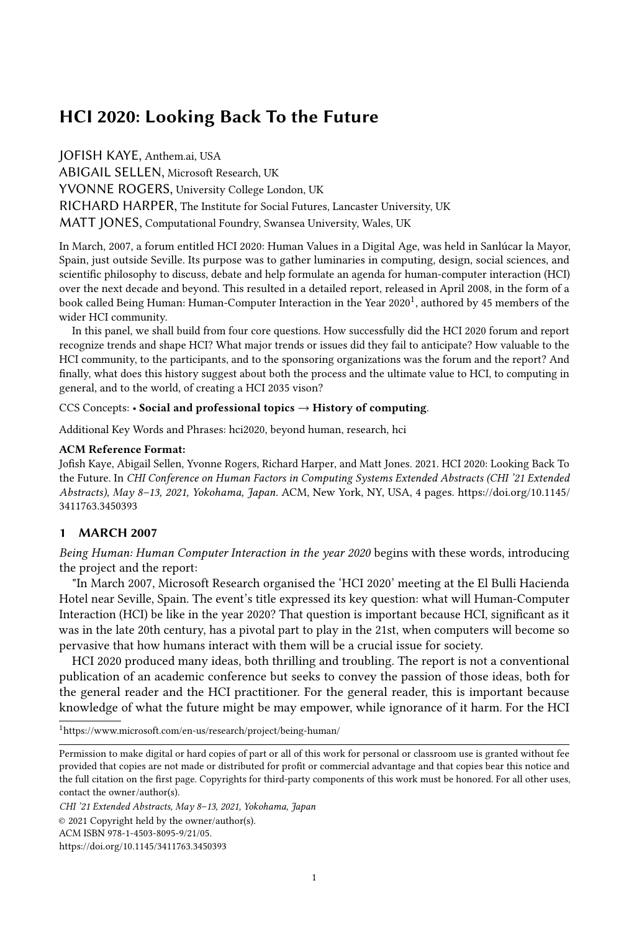# HCI 2020: Looking Back To the Future

JOFISH KAYE, Anthem.ai, USA ABIGAIL SELLEN, Microsoft Research, UK YVONNE ROGERS, University College London, UK RICHARD HARPER, The Institute for Social Futures, Lancaster University, UK MATT JONES, Computational Foundry, Swansea University, Wales, UK

In March, 2007, a forum entitled HCI 2020: Human Values in a Digital Age, was held in Sanlúcar la Mayor, Spain, just outside Seville. Its purpose was to gather luminaries in computing, design, social sciences, and scientific philosophy to discuss, debate and help formulate an agenda for human-computer interaction (HCI) over the next decade and beyond. This resulted in a detailed report, released in April 2008, in the form of a book called Being Human: Human-Computer Interaction in the Year 2020 $^1$  $^1$ , authored by 45 members of the wider HCI community.

In this panel, we shall build from four core questions. How successfully did the HCI 2020 forum and report recognize trends and shape HCI? What major trends or issues did they fail to anticipate? How valuable to the HCI community, to the participants, and to the sponsoring organizations was the forum and the report? And finally, what does this history suggest about both the process and the ultimate value to HCI, to computing in general, and to the world, of creating a HCI 2035 vison?

#### CCS Concepts: • Social and professional topics → History of computing.

Additional Key Words and Phrases: hci2020, beyond human, research, hci

### ACM Reference Format:

Jofish Kaye, Abigail Sellen, Yvonne Rogers, Richard Harper, and Matt Jones. 2021. HCI 2020: Looking Back To the Future. In CHI Conference on Human Factors in Computing Systems Extended Abstracts (CHI '21 Extended Abstracts), May 8–13, 2021, Yokohama, Japan. ACM, New York, NY, USA, [4](#page-3-0) pages. [https://doi.org/10.1145/](https://doi.org/10.1145/3411763.3450393) [3411763.3450393](https://doi.org/10.1145/3411763.3450393)

## 1 MARCH 2007

Being Human: Human Computer Interaction in the year 2020 begins with these words, introducing the project and the report:

"In March 2007, Microsoft Research organised the 'HCI 2020' meeting at the El Bulli Hacienda Hotel near Seville, Spain. The event's title expressed its key question: what will Human-Computer Interaction (HCI) be like in the year 2020? That question is important because HCI, significant as it was in the late 20th century, has a pivotal part to play in the 21st, when computers will become so pervasive that how humans interact with them will be a crucial issue for society.

HCI 2020 produced many ideas, both thrilling and troubling. The report is not a conventional publication of an academic conference but seeks to convey the passion of those ideas, both for the general reader and the HCI practitioner. For the general reader, this is important because knowledge of what the future might be may empower, while ignorance of it harm. For the HCI

<span id="page-0-0"></span><sup>1</sup>https://www.microsoft.com/en-us/research/project/being-human/

CHI '21 Extended Abstracts, May 8–13, 2021, Yokohama, Japan © 2021 Copyright held by the owner/author(s).

Permission to make digital or hard copies of part or all of this work for personal or classroom use is granted without fee provided that copies are not made or distributed for profit or commercial advantage and that copies bear this notice and the full citation on the first page. Copyrights for third-party components of this work must be honored. For all other uses, contact the owner/author(s).

ACM ISBN 978-1-4503-8095-9/21/05.

<https://doi.org/10.1145/3411763.3450393>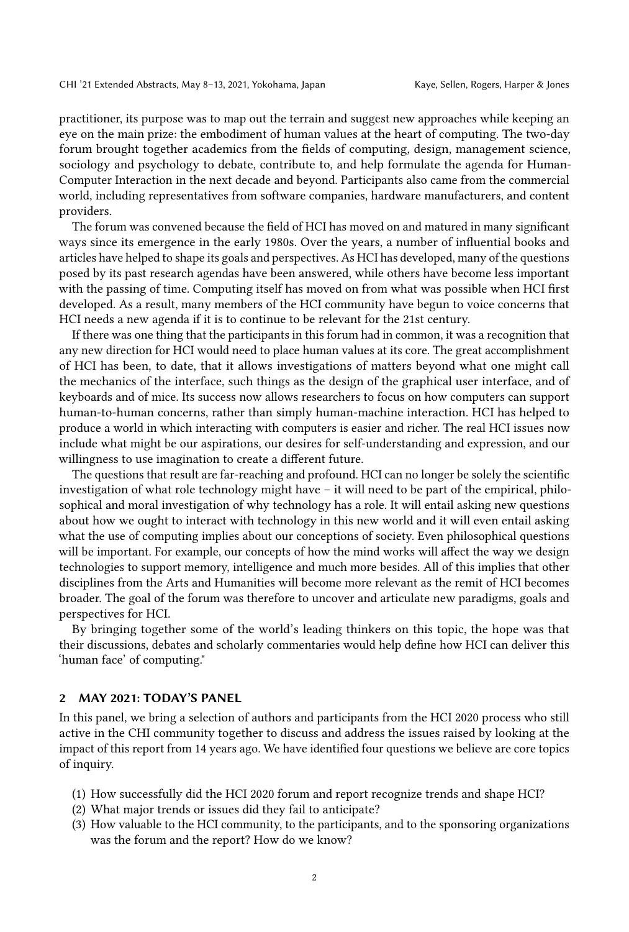practitioner, its purpose was to map out the terrain and suggest new approaches while keeping an eye on the main prize: the embodiment of human values at the heart of computing. The two-day forum brought together academics from the fields of computing, design, management science, sociology and psychology to debate, contribute to, and help formulate the agenda for Human-Computer Interaction in the next decade and beyond. Participants also came from the commercial world, including representatives from software companies, hardware manufacturers, and content providers.

The forum was convened because the field of HCI has moved on and matured in many significant ways since its emergence in the early 1980s. Over the years, a number of influential books and articles have helped to shape its goals and perspectives. As HCI has developed, many of the questions posed by its past research agendas have been answered, while others have become less important with the passing of time. Computing itself has moved on from what was possible when HCI first developed. As a result, many members of the HCI community have begun to voice concerns that HCI needs a new agenda if it is to continue to be relevant for the 21st century.

If there was one thing that the participants in this forum had in common, it was a recognition that any new direction for HCI would need to place human values at its core. The great accomplishment of HCI has been, to date, that it allows investigations of matters beyond what one might call the mechanics of the interface, such things as the design of the graphical user interface, and of keyboards and of mice. Its success now allows researchers to focus on how computers can support human-to-human concerns, rather than simply human-machine interaction. HCI has helped to produce a world in which interacting with computers is easier and richer. The real HCI issues now include what might be our aspirations, our desires for self-understanding and expression, and our willingness to use imagination to create a different future.

The questions that result are far-reaching and profound. HCI can no longer be solely the scientific investigation of what role technology might have – it will need to be part of the empirical, philosophical and moral investigation of why technology has a role. It will entail asking new questions about how we ought to interact with technology in this new world and it will even entail asking what the use of computing implies about our conceptions of society. Even philosophical questions will be important. For example, our concepts of how the mind works will affect the way we design technologies to support memory, intelligence and much more besides. All of this implies that other disciplines from the Arts and Humanities will become more relevant as the remit of HCI becomes broader. The goal of the forum was therefore to uncover and articulate new paradigms, goals and perspectives for HCI.

By bringing together some of the world's leading thinkers on this topic, the hope was that their discussions, debates and scholarly commentaries would help define how HCI can deliver this 'human face' of computing."

## 2 MAY 2021: TODAY'S PANEL

In this panel, we bring a selection of authors and participants from the HCI 2020 process who still active in the CHI community together to discuss and address the issues raised by looking at the impact of this report from 14 years ago. We have identified four questions we believe are core topics of inquiry.

- (1) How successfully did the HCI 2020 forum and report recognize trends and shape HCI?
- (2) What major trends or issues did they fail to anticipate?
- (3) How valuable to the HCI community, to the participants, and to the sponsoring organizations was the forum and the report? How do we know?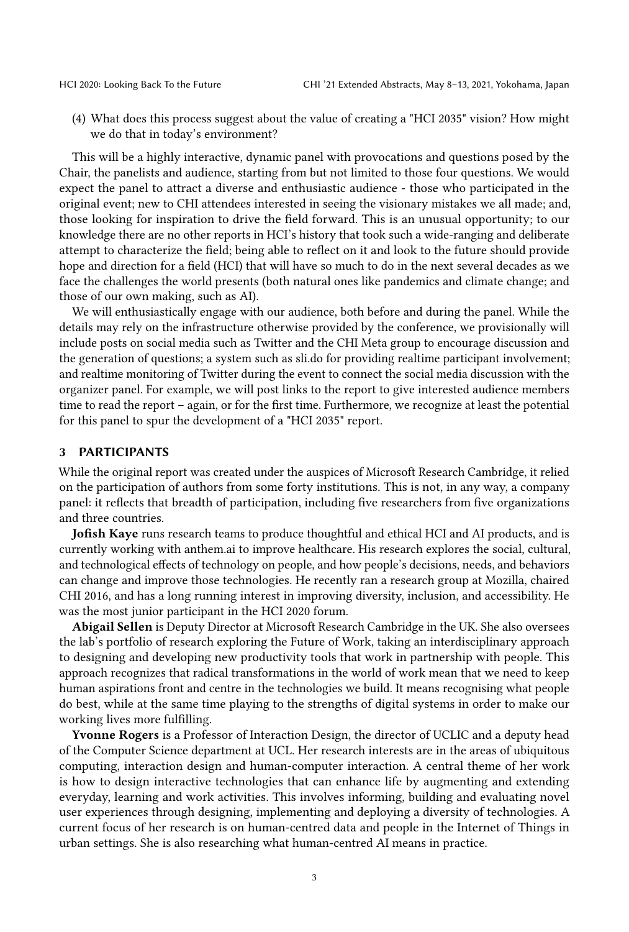(4) What does this process suggest about the value of creating a "HCI 2035" vision? How might we do that in today's environment?

This will be a highly interactive, dynamic panel with provocations and questions posed by the Chair, the panelists and audience, starting from but not limited to those four questions. We would expect the panel to attract a diverse and enthusiastic audience - those who participated in the original event; new to CHI attendees interested in seeing the visionary mistakes we all made; and, those looking for inspiration to drive the field forward. This is an unusual opportunity; to our knowledge there are no other reports in HCI's history that took such a wide-ranging and deliberate attempt to characterize the field; being able to reflect on it and look to the future should provide hope and direction for a field (HCI) that will have so much to do in the next several decades as we face the challenges the world presents (both natural ones like pandemics and climate change; and those of our own making, such as AI).

We will enthusiastically engage with our audience, both before and during the panel. While the details may rely on the infrastructure otherwise provided by the conference, we provisionally will include posts on social media such as Twitter and the CHI Meta group to encourage discussion and the generation of questions; a system such as sli.do for providing realtime participant involvement; and realtime monitoring of Twitter during the event to connect the social media discussion with the organizer panel. For example, we will post links to the report to give interested audience members time to read the report – again, or for the first time. Furthermore, we recognize at least the potential for this panel to spur the development of a "HCI 2035" report.

## 3 PARTICIPANTS

While the original report was created under the auspices of Microsoft Research Cambridge, it relied on the participation of authors from some forty institutions. This is not, in any way, a company panel: it reflects that breadth of participation, including five researchers from five organizations and three countries.

Jofish Kaye runs research teams to produce thoughtful and ethical HCI and AI products, and is currently working with anthem.ai to improve healthcare. His research explores the social, cultural, and technological effects of technology on people, and how people's decisions, needs, and behaviors can change and improve those technologies. He recently ran a research group at Mozilla, chaired CHI 2016, and has a long running interest in improving diversity, inclusion, and accessibility. He was the most junior participant in the HCI 2020 forum.

Abigail Sellen is Deputy Director at Microsoft Research Cambridge in the UK. She also oversees the lab's portfolio of research exploring the Future of Work, taking an interdisciplinary approach to designing and developing new productivity tools that work in partnership with people. This approach recognizes that radical transformations in the world of work mean that we need to keep human aspirations front and centre in the technologies we build. It means recognising what people do best, while at the same time playing to the strengths of digital systems in order to make our working lives more fulfilling.

Yvonne Rogers is a Professor of Interaction Design, the director of UCLIC and a deputy head of the Computer Science department at UCL. Her research interests are in the areas of ubiquitous computing, interaction design and human-computer interaction. A central theme of her work is how to design interactive technologies that can enhance life by augmenting and extending everyday, learning and work activities. This involves informing, building and evaluating novel user experiences through designing, implementing and deploying a diversity of technologies. A current focus of her research is on human-centred data and people in the Internet of Things in urban settings. She is also researching what human-centred AI means in practice.